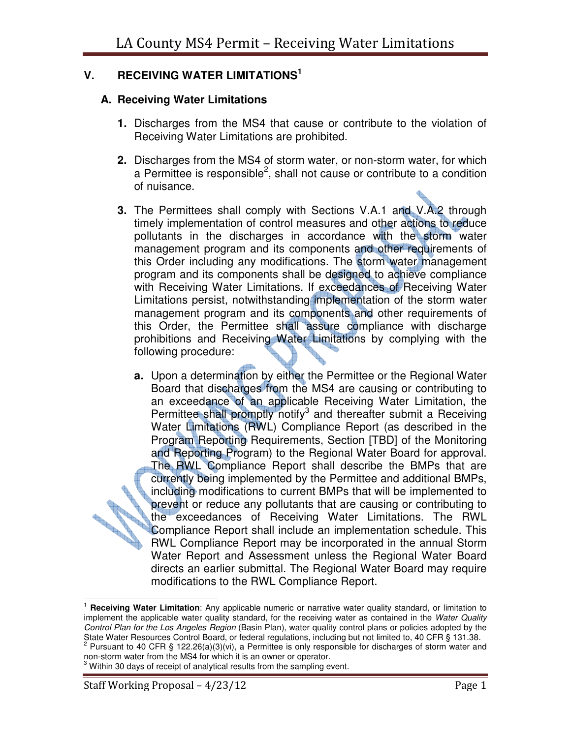## **V. RECEIVING WATER LIMITATIONS<sup>1</sup>**

## **A. Receiving Water Limitations**

- **1.** Discharges from the MS4 that cause or contribute to the violation of Receiving Water Limitations are prohibited.
- **2.** Discharges from the MS4 of storm water, or non-storm water, for which a Permittee is responsible<sup>2</sup>, shall not cause or contribute to a condition of nuisance.
- **3.** The Permittees shall comply with Sections V.A.1 and V.A.2 through timely implementation of control measures and other actions to reduce pollutants in the discharges in accordance with the storm water management program and its components and other requirements of this Order including any modifications. The storm water management program and its components shall be designed to achieve compliance with Receiving Water Limitations. If exceedances of Receiving Water Limitations persist, notwithstanding implementation of the storm water management program and its components and other requirements of this Order, the Permittee shall assure compliance with discharge prohibitions and Receiving Water Limitations by complying with the following procedure:
- **a.** Upon a determination by either the Permittee or the Regional Water Board that discharges from the MS4 are causing or contributing to an exceedance of an applicable Receiving Water Limitation, the Permittee shall promptly notify<sup>3</sup> and thereafter submit a Receiving Water Limitations (RWL) Compliance Report (as described in the Program Reporting Requirements, Section [TBD] of the Monitoring and Reporting Program) to the Regional Water Board for approval. The RWL Compliance Report shall describe the BMPs that are currently being implemented by the Permittee and additional BMPs, including modifications to current BMPs that will be implemented to prevent or reduce any pollutants that are causing or contributing to September 1884 the exceedances of Receiving Water Limitations. The RWL Compliance Report shall include an implementation schedule. This RWL Compliance Report may be incorporated in the annual Storm Water Report and Assessment unless the Regional Water Board directs an earlier submittal. The Regional Water Board may require modifications to the RWL Compliance Report.

 $\overline{a}$ 

<sup>1</sup> **Receiving Water Limitation**: Any applicable numeric or narrative water quality standard, or limitation to implement the applicable water quality standard, for the receiving water as contained in the Water Quality Control Plan for the Los Angeles Region (Basin Plan), water quality control plans or policies adopted by the State Water Resources Control Board, or federal regulations, including but not limited to, 40 CFR § 131.38.

<sup>&</sup>lt;sup>2</sup> Pursuant to 40 CFR § 122.26(a)(3)(vi), a Permittee is only responsible for discharges of storm water and non-storm water from the MS4 for which it is an owner or operator.<br><sup>3</sup> Within 20 days of resoint of apolytical results from the compling of

Within 30 days of receipt of analytical results from the sampling event.